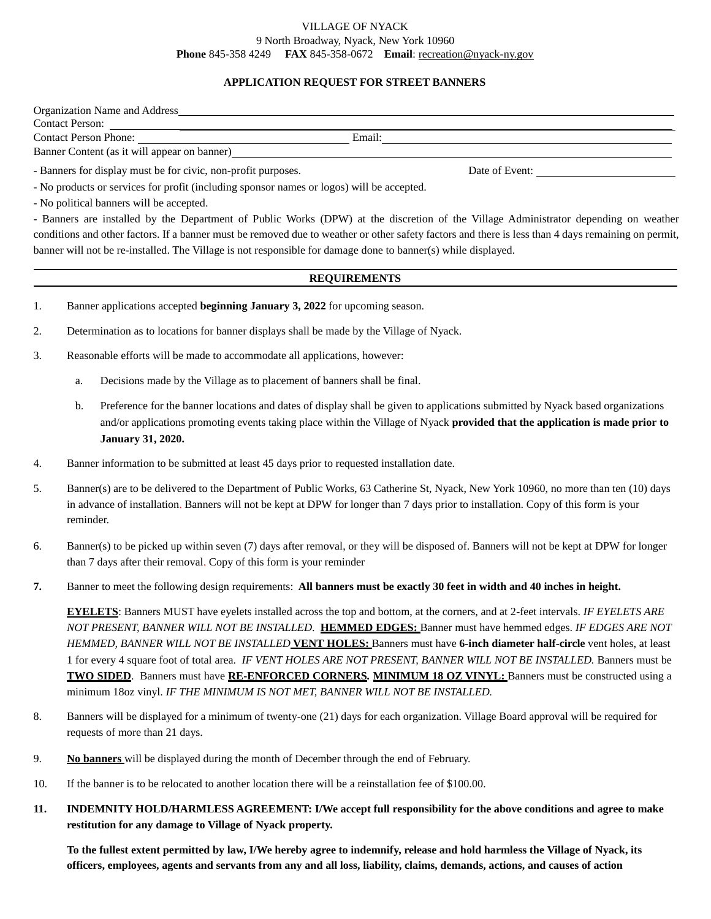## VILLAGE OF NYACK 9 North Broadway, Nyack, New York 10960 **Phone** 845-358 4249 **FAX** 845-358-0672 **Email**: [recreation@nyack-ny.gov](mailto:recreation@nyack-ny.gov)

## **APPLICATION REQUEST FOR STREET BANNERS**

| Organization Name and Address                                 |        |                |  |
|---------------------------------------------------------------|--------|----------------|--|
| <b>Contact Person:</b>                                        |        |                |  |
| <b>Contact Person Phone:</b>                                  | Email: |                |  |
| Banner Content (as it will appear on banner)                  |        |                |  |
| - Banners for display must be for civic, non-profit purposes. |        | Date of Event: |  |

- No products or services for profit (including sponsor names or logos) will be accepted.

- No political banners will be accepted.

- Banners are installed by the Department of Public Works (DPW) at the discretion of the Village Administrator depending on weather conditions and other factors. If a banner must be removed due to weather or other safety factors and there is less than 4 days remaining on permit, banner will not be re-installed. The Village is not responsible for damage done to banner(s) while displayed.

## **REQUIREMENTS**

1. Banner applications accepted **beginning January 3, 2022** for upcoming season.

2. Determination as to locations for banner displays shall be made by the Village of Nyack.

- 3. Reasonable efforts will be made to accommodate all applications, however:
	- a. Decisions made by the Village as to placement of banners shall be final.
	- b. Preference for the banner locations and dates of display shall be given to applications submitted by Nyack based organizations and/or applications promoting events taking place within the Village of Nyack **provided that the application is made prior to January 31, 2020.**
- 4. Banner information to be submitted at least 45 days prior to requested installation date.
- 5. Banner(s) are to be delivered to the Department of Public Works, 63 Catherine St, Nyack, New York 10960, no more than ten (10) days in advance of installation. Banners will not be kept at DPW for longer than 7 days prior to installation. Copy of this form is your reminder.
- 6. Banner(s) to be picked up within seven (7) days after removal, or they will be disposed of. Banners will not be kept at DPW for longer than 7 days after their removal. Copy of this form is your reminder
- **7.** Banner to meet the following design requirements: **All banners must be exactly 30 feet in width and 40 inches in height.**

**EYELETS**: Banners MUST have eyelets installed across the top and bottom, at the corners, and at 2-feet intervals. *IF EYELETS ARE NOT PRESENT, BANNER WILL NOT BE INSTALLED*. **HEMMED EDGES:** Banner must have hemmed edges. *IF EDGES ARE NOT HEMMED, BANNER WILL NOT BE INSTALLED* **VENT HOLES:** Banners must have **6-inch diameter half-circle** vent holes, at least 1 for every 4 square foot of total area. *IF VENT HOLES ARE NOT PRESENT, BANNER WILL NOT BE INSTALLED.* Banners must be **TWO SIDED**. Banners must have **RE-ENFORCED CORNERS***.* **MINIMUM 18 OZ VINYL:** Banners must be constructed using a minimum 18oz vinyl. *IF THE MINIMUM IS NOT MET, BANNER WILL NOT BE INSTALLED.*

- 8. Banners will be displayed for a minimum of twenty-one (21) days for each organization. Village Board approval will be required for requests of more than 21 days.
- 9. **No banners** will be displayed during the month of December through the end of February.
- 10. If the banner is to be relocated to another location there will be a reinstallation fee of \$100.00.
- **11. INDEMNITY HOLD/HARMLESS AGREEMENT: I/We accept full responsibility for the above conditions and agree to make restitution for any damage to Village of Nyack property.**

**To the fullest extent permitted by law, I/We hereby agree to indemnify, release and hold harmless the Village of Nyack, its officers, employees, agents and servants from any and all loss, liability, claims, demands, actions, and causes of action**